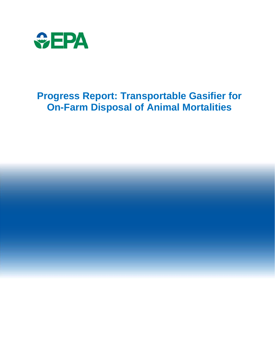

# **Progress Report: Transportable Gasifier for On-Farm Disposal of Animal Mortalities**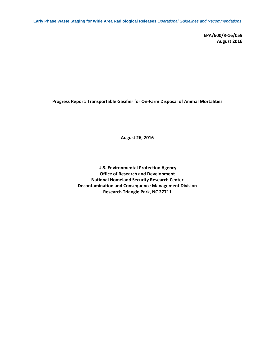**Early Phase Waste Staging for Wide Area Radiological Releases** *Operational Guidelines and Recommendations*

**EPA/600/R‐16/059 August 2016**

**Progress Report: Transportable Gasifier for On‐Farm Disposal of Animal Mortalities**

**August 26, 2016**

**U.S. Environmental Protection Agency Office of Research and Development National Homeland Security Research Center Decontamination and Consequence Management Division Research Triangle Park, NC 27711**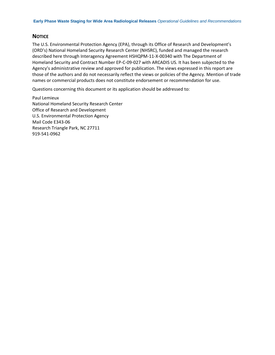# **NOTICE**

The U.S. Environmental Protection Agency (EPA), through its Office of Research and Development's (ORD's) National Homeland Security Research Center (NHSRC), funded and managed the research described here through Interagency Agreement HSHQPM‐11‐X‐00340 with The Department of Homeland Security and Contract Number EP‐C‐09‐027 with ARCADIS US. It has been subjected to the Agency's administrative review and approved for publication. The views expressed in this report are those of the authors and do not necessarily reflect the views or policies of the Agency. Mention of trade names or commercial products does not constitute endorsement or recommendation for use.

Questions concerning this document or its application should be addressed to:

Paul Lemieux National Homeland Security Research Center Office of Research and Development U.S. Environmental Protection Agency Mail Code E343‐06 Research Triangle Park, NC 27711 919‐541‐0962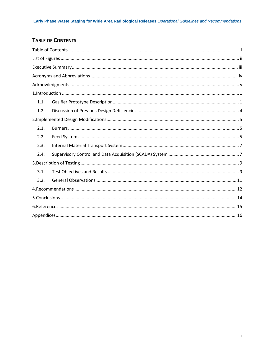# **TABLE OF CONTENTS**

| 1.1. |  |  |  |
|------|--|--|--|
| 1.2. |  |  |  |
|      |  |  |  |
| 2.1. |  |  |  |
| 2.2. |  |  |  |
| 2.3. |  |  |  |
| 2.4. |  |  |  |
|      |  |  |  |
| 3.1. |  |  |  |
| 3.2. |  |  |  |
|      |  |  |  |
|      |  |  |  |
|      |  |  |  |
|      |  |  |  |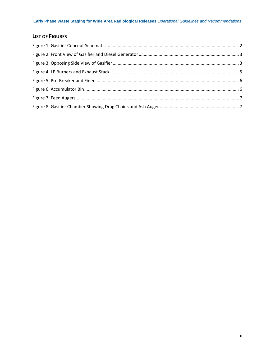# **LIST OF FIGURES**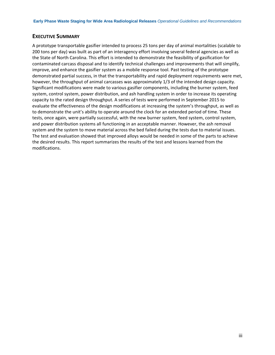### **EXECUTIVE SUMMARY**

A prototype transportable gasifier intended to process 25 tons per day of animal mortalities (scalable to 200 tons per day) was built as part of an interagency effort involving several federal agencies as well as the State of North Carolina. This effort is intended to demonstrate the feasibility of gasification for contaminated carcass disposal and to identify technical challenges and improvements that will simplify, improve, and enhance the gasifier system as a mobile response tool. Past testing of the prototype demonstrated partial success, in that the transportability and rapid deployment requirements were met, however, the throughput of animal carcasses was approximately 1/3 of the intended design capacity. Significant modifications were made to various gasifier components, including the burner system, feed system, control system, power distribution, and ash handling system in order to increase its operating capacity to the rated design throughput. A series of tests were performed in September 2015 to evaluate the effectiveness of the design modifications at increasing the system's throughput, as well as to demonstrate the unit's ability to operate around the clock for an extended period of time. These tests, once again, were partially successful, with the new burner system, feed system, control system, and power distribution systems all functioning in an acceptable manner. However, the ash removal system and the system to move material across the bed failed during the tests due to material issues. The test and evaluation showed that improved alloys would be needed in some of the parts to achieve the desired results. This report summarizes the results of the test and lessons learned from the modifications.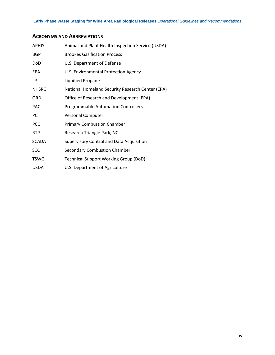# **ACRONYMS AND ABBREVIATIONS**

| <b>APHIS</b> | Animal and Plant Health Inspection Service (USDA) |
|--------------|---------------------------------------------------|
| <b>BGP</b>   | <b>Brookes Gasification Process</b>               |
| DoD          | U.S. Department of Defense                        |
| EPA          | U.S. Environmental Protection Agency              |
| LP           | Liquified Propane                                 |
| <b>NHSRC</b> | National Homeland Security Research Center (EPA)  |
| ORD          | Office of Research and Development (EPA)          |
| <b>PAC</b>   | <b>Programmable Automation Controllers</b>        |
| PC           | Personal Computer                                 |
| <b>PCC</b>   | <b>Primary Combustion Chamber</b>                 |
| <b>RTP</b>   | Research Triangle Park, NC                        |
| <b>SCADA</b> | Supervisory Control and Data Acquisition          |
| <b>SCC</b>   | <b>Secondary Combustion Chamber</b>               |
| <b>TSWG</b>  | <b>Technical Support Working Group (DoD)</b>      |
| <b>USDA</b>  | U.S. Department of Agriculture                    |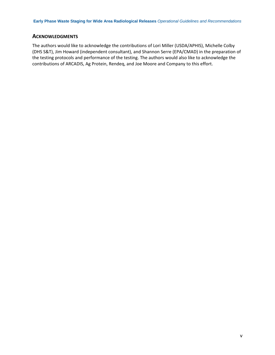# **ACKNOWLEDGMENTS**

The authors would like to acknowledge the contributions of Lori Miller (USDA/APHIS), Michelle Colby (DHS S&T), Jim Howard (independent consultant), and Shannon Serre (EPA/CMAD) in the preparation of the testing protocols and performance of the testing. The authors would also like to acknowledge the contributions of ARCADIS, Ag Protein, Rendeq, and Joe Moore and Company to this effort.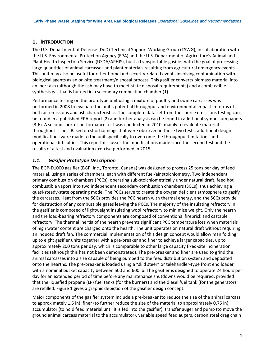### **1. INTRODUCTION**

The U.S. Department of Defense (DoD) Technical Support Working Group (TSWG), in collaboration with the U.S. Environmental Protection Agency (EPA) and the U.S. Department of Agriculture's Animal and Plant Health Inspection Service (USDA/APHIS), built a transportable gasifier with the goal of processing large quantities of animal carcasses and plant materials resulting from agricultural emergency events. This unit may also be useful for other homeland security-related events involving contamination with biological agents as an on‐site treatment/disposal process. This gasifier converts biomass material into an inert ash (although the ash may have to meet state disposal requirements) and a combustible synthesis gas that is burned in a secondary combustion chamber (1).

Performance testing on the prototype unit using a mixture of poultry and swine carcasses was performed in 2008 to evaluate the unit's potential throughput and environmental impact in terms of both air emissions and ash characteristics. The complete data set from the source emissions testing can be found in a published EPA report (2) and further analysis can be found in additional symposium papers (3‐6). A second shorter performance test was conducted in 2010, mainly to evaluate material throughput issues. Based on shortcomings that were observed in those two tests, additional design modifications were made to the unit specifically to overcome the throughput limitations and operational difficulties. This report discusses the modifications made since the second test and the results of a test and evaluation exercise performed in 2015.

### *1.1. Gasifier Prototype Description*

The BGP‐D1000 gasifier (BGP, Inc., Toronto, Canada) was designed to process 25 tons per day of feed material, using a series of chambers, each with different fuel/air stoichiometry. Two independent primary combustion chambers (PCCs), operating sub‐stoichiometrically under natural draft, feed hot combustible vapors into two independent secondary combustion chambers (SCCs), thus achieving a quasi‐steady‐state operating mode. The PCCs serve to create the oxygen deficient atmosphere to gasify the carcasses. Heat from the SCCs provides the PCC hearth with thermal energy, and the SCCs provide for destruction of any combustible gases leaving the PCCs. The majority of the insulating refractory in the gasifier is composed of lightweight insulating wool refractory to minimize weight. Only the hearth and the load‐bearing refractory components are composed of conventional firebrick and castable refractory. The thermal inertia of the hearth prevents significant PCC temperature loss when materials of high water content are charged onto the hearth. The unit operates on natural draft without requiring an induced draft fan. The commercial implementation of this design concept would allow manifolding up to eight gasifier units together with a pre‐breaker and finer to achieve larger capacities, up to approximately 200 tons per day, which is comparable to other large capacity fixed-site incineration facilities (although this has not been demonstrated). The pre-breaker and finer are used to grind the animal carcasses into a size capable of being pumped to the feed distribution system and deposited onto the hearths. The pre‐breaker is loaded using a "skid steer" or telehandler‐type front end loader with a nominal bucket capacity between 500 and 600 lb. The gasifier is designed to operate 24 hours per day for an extended period of time before any maintenance shutdowns would be required, provided that the liquefied propane (LP) fuel tanks (for the burners) and the diesel fuel tank (for the generator) are refilled. Figure 1 gives a graphic depiction of the gasifier design concept.

Major components of the gasifier system include a pre‐breaker (to reduce the size of the animal carcass to approximately 1.5 in), finer (to further reduce the size of the material to approximately 0.75 in), accumulator (to hold feed material until it is fed into the gasifier), transfer auger and pump (to move the ground animal carcass material to the accumulator), variable speed feed augers, carbon steel drag chain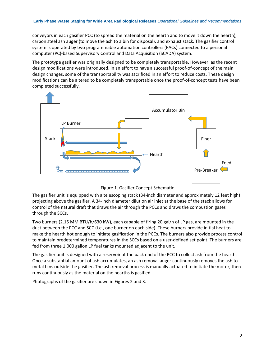conveyors in each gasifier PCC (to spread the material on the hearth and to move it down the hearth), carbon steel ash auger (to move the ash to a bin for disposal), and exhaust stack. The gasifier control system is operated by two programmable automation controllers (PACs) connected to a personal computer (PC)‐based Supervisory Control and Data Acquisition (SCADA) system.

The prototype gasifier was originally designed to be completely transportable. However, as the recent design modifications were introduced, in an effort to have a successful proof‐of‐concept of the main design changes, some of the transportability was sacrificed in an effort to reduce costs. These design modifications can be altered to be completely transportable once the proof‐of‐concept tests have been completed successfully.



Figure 1. Gasifier Concept Schematic

The gasifier unit is equipped with a telescoping stack (34‐inch diameter and approximately 12 feet high) projecting above the gasifier. A 34‐inch diameter dilution air inlet at the base of the stack allows for control of the natural draft that draws the air through the PCCs and draws the combustion gases through the SCCs.

Two burners (2.15 MM BTU/h/630 kW), each capable of firing 20 gal/h of LP gas, are mounted in the duct between the PCC and SCC (i.e., one burner on each side). These burners provide initial heat to make the hearth hot enough to initiate gasification in the PCCs. The burners also provide process control to maintain predetermined temperatures in the SCCs based on a user-defined set point. The burners are fed from three 1,000 gallon LP fuel tanks mounted adjacent to the unit.

The gasifier unit is designed with a reservoir at the back end of the PCC to collect ash from the hearths. Once a substantial amount of ash accumulates, an ash removal auger continuously removes the ash to metal bins outside the gasifier. The ash removal process is manually actuated to initiate the motor, then runs continuously as the material on the hearths is gasified.

Photographs of the gasifier are shown in Figures 2 and 3.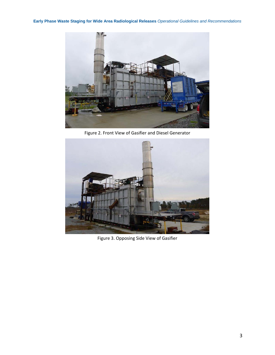**Early Phase Waste Staging for Wide Area Radiological Releases** *Operational Guidelines and Recommendations*



Figure 2. Front View of Gasifier and Diesel Generator



Figure 3. Opposing Side View of Gasifier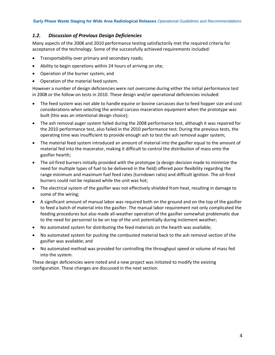### *1.2. Discussion of Previous Design Deficiencies*

Many aspects of the 2008 and 2010 performance testing satisfactorily met the required criteria for acceptance of the technology. Some of the successfully achieved requirements included:

- Transportability over primary and secondary roads;
- Ability to begin operations within 24 hours of arriving on site;
- Operation of the burner system; and
- Operation of the material feed system.

However a number of design deficiencies were not overcome during either the initial performance test in 2008 or the follow-on tests in 2010. These design and/or operational deficiencies included:

- The feed system was not able to handle equine or bovine carcasses due to feed hopper size and cost considerations when selecting the animal carcass maceration equipment when the prototype was built (this was an intentional design choice);
- The ash removal auger system failed during the 2008 performance test, although it was repaired for the 2010 performance test, also failed in the 2010 performance test. During the previous tests, the operating time was insufficient to provide enough ash to test the ash removal auger system;
- The material feed system introduced an amount of material into the gasifier equal to the amount of material fed into the macerator, making it difficult to control the distribution of mass onto the gasifier hearth;
- The oil-fired burners initially provided with the prototype (a design decision made to minimize the need for multiple types of fuel to be delivered in the field) offered poor flexibility regarding the range minimum and maximum fuel feed rates (turndown ratio) and difficult ignition. The oil‐fired burners could not be replaced while the unit was hot;
- The electrical system of the gasifier was not effectively shielded from heat, resulting in damage to some of the wiring;
- A significant amount of manual labor was required both on the ground and on the top of the gasifier to feed a batch of material into the gasifier. The manual labor requirement not only complicated the feeding procedures but also made all‐weather operation of the gasifier somewhat problematic due to the need for personnel to be on top of the unit potentially during inclement weather;
- No automated system for distributing the feed materials on the hearth was available;
- No automated system for pushing the combusted material back to the ash removal section of the gasifier was available; and
- No automated method was provided for controlling the throughput speed or volume of mass fed into the system.

These design deficiencies were noted and a new project was initiated to modify the existing configuration. These changes are discussed in the next section.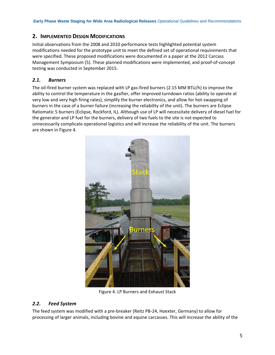# **2. IMPLEMENTED DESIGN MODIFICATIONS**

Initial observations from the 2008 and 2010 performance tests highlighted potential system modifications needed for the prototype unit to meet the defined set of operational requirements that were specified. These proposed modifications were documented in a paper at the 2012 Carcass Management Symposium (5). These planned modifications were implemented, and proof‐of‐concept testing was conducted in September 2015.

# *2.1. Burners*

The oil-fired burner system was replaced with LP gas-fired burners (2.15 MM BTU/h) to improve the ability to control the temperature in the gasifier, offer improved turndown ratios (ability to operate at very low and very high firing rates), simplify the burner electronics, and allow for hot‐swapping of burners in the case of a burner failure (increasing the reliability of the unit). The burners are Eclipse Ratiomatic 5 burners (Eclipse, Rockford, IL). Although use of LP will necessitate delivery of diesel fuel for the generator and LP fuel for the burners, delivery of two fuels to the site is not expected to unnecessarily complicate operational logistics and will increase the reliability of the unit. The burners are shown in Figure 4.



Figure 4. LP Burners and Exhaust Stack

# *2.2. Feed System*

The feed system was modified with a pre‐breaker (Reitz PB‐24, Hoexter, Germany) to allow for processing of larger animals, including bovine and equine carcasses. This will increase the ability of the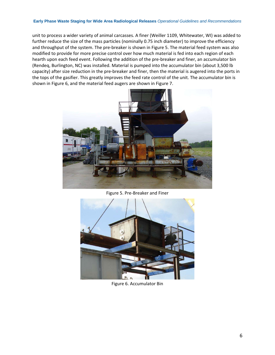#### **Early Phase Waste Staging for Wide Area Radiological Releases** *Operational Guidelines and Recommendations*

unit to process a wider variety of animal carcasses. A finer (Weiller 1109, Whitewater, WI) was added to further reduce the size of the mass particles (nominally 0.75 inch diameter) to improve the efficiency and throughput of the system. The pre-breaker is shown in Figure 5. The material feed system was also modified to provide for more precise control over how much material is fed into each region of each hearth upon each feed event. Following the addition of the pre-breaker and finer, an accumulator bin (Rendeq, Burlington, NC) was installed. Material is pumped into the accumulator bin (about 3,500 lb capacity) after size reduction in the pre‐breaker and finer, then the material is augered into the ports in the tops of the gasifier. This greatly improves the feed rate control of the unit. The accumulator bin is shown in Figure 6, and the material feed augers are shown in Figure 7.



Figure 5. Pre‐Breaker and Finer



Figure 6. Accumulator Bin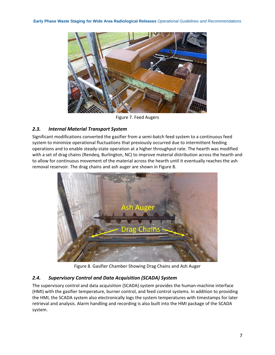

Figure 7. Feed Augers

# *2.3. Internal Material Transport System*

Significant modifications converted the gasifier from a semi‐batch feed system to a continuous feed system to minimize operational fluctuations that previously occurred due to intermittent feeding operations and to enable steady‐state operation at a higher throughput rate. The hearth was modified with a set of drag chains (Rendeq, Burlington, NC) to improve material distribution across the hearth and to allow for continuous movement of the material across the hearth until it eventually reaches the ash removal reservoir. The drag chains and ash auger are shown in Figure 8.



Figure 8. Gasifier Chamber Showing Drag Chains and Ash Auger

# *2.4. Supervisory Control and Data Acquisition (SCADA) System*

The supervisory control and data acquisition (SCADA) system provides the human-machine interface (HMI) with the gasifier temperature, burner control, and feed control systems. In addition to providing the HMI, the SCADA system also electronically logs the system temperatures with timestamps for later retrieval and analysis. Alarm handling and recording is also built into the HMI package of the SCADA system.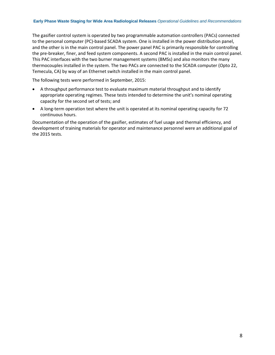#### **Early Phase Waste Staging for Wide Area Radiological Releases** *Operational Guidelines and Recommendations*

The gasifier control system is operated by two programmable automation controllers (PACs) connected to the personal computer (PC)‐based SCADA system. One is installed in the power distribution panel, and the other is in the main control panel. The power panel PAC is primarily responsible for controlling the pre‐breaker, finer, and feed system components. A second PAC is installed in the main control panel. This PAC interfaces with the two burner management systems (BMSs) and also monitors the many thermocouples installed in the system. The two PACs are connected to the SCADA computer (Opto 22, Temecula, CA) by way of an Ethernet switch installed in the main control panel.

The following tests were performed in September, 2015:

- A throughput performance test to evaluate maximum material throughput and to identify appropriate operating regimes. These tests intended to determine the unit's nominal operating capacity for the second set of tests; and
- A long‐term operation test where the unit is operated at its nominal operating capacity for 72 continuous hours.

Documentation of the operation of the gasifier, estimates of fuel usage and thermal efficiency, and development of training materials for operator and maintenance personnel were an additional goal of the 2015 tests.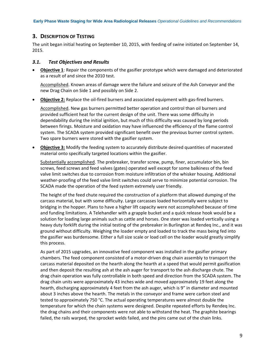# **3. DESCRIPTION OF TESTING**

The unit began initial heating on September 10, 2015, with feeding of swine initiated on September 14, 2015.

### *3.1. Test Objectives and Results*

 **Objective 1**: Repair the components of the gasifier prototype which were damaged and deteriorated as a result of and since the 2010 test.

Accomplished. Known areas of damage were the failure and seizure of the Ash Conveyor and the new Drag Chain on Side 1 and possibly on Side 2.

**Objective 2:** Replace the oil‐fired burners and associated equipment with gas‐fired burners.

Accomplished. New gas burners permitted better operation and control than oil burners and provided sufficient heat for the current design of the unit. There was some difficulty in dependability during the initial ignition, but much of this difficulty was caused by long periods between firings. Moisture and oxidation may have influenced the efficiency of the flame control system. The SCADA system provided significant benefit over the previous burner control system. Two spare burners were stored with the gasifier system.

 **Objective 3:** Modify the feeding system to accurately distribute desired quantities of macerated material onto specifically targeted locations within the gasifier.

Substantially accomplished. The prebreaker, transfer screw, pump, finer, accumulator bin, bin screws, feed screws and feed valves (gates) operated well except for some balkiness of the feed valve limit switches due to corrosion from moisture infiltration of the whisker housing. Additional weather‐proofing of the feed valve limit switches could serve to minimize potential corrosion. The SCADA made the operation of the feed system extremely user friendly.

The height of the feed chute required the construction of a platform that allowed dumping of the carcass material, but with some difficulty. Large carcasses loaded horizontally were subject to bridging in the hopper. Plans to have a higher lift capacity were not accomplished because of time and funding limitations. A Telehandler with a grapple bucket and a quick release hook would be a solution for loading large animals such as cattle and horses. One steer was loaded vertically using a heavy duty forklift during the initial testing of the prebreaker in Burlington at Rendeq Inc., and it was ground without difficulty. Weighing the loader empty and loaded to track the mass being fed into the gasifier was burdensome. Either a full size scale or load cell on the loader would greatly simplify this process.

As part of 2015 upgrades, an innovative feed component was installed in the gasifier primary chambers. The feed component consisted of a motor‐driven drag chain assembly to transport the carcass material deposited on the hearth along the hearth at a speed that would permit gasification and then deposit the resulting ash at the ash auger for transport to the ash discharge chute. The drag chain operation was fully controllable in both speed and direction from the SCADA system. The drag chain units were approximately 43 inches wide and moved approximately 19 feet along the hearth, discharging approximately 4 feet from the ash auger, which is 9" in diameter and mounted about 3 inches above the hearth. The metals in the conveyor and frame were carbon steel and tested to approximately 750 °C. The actual operating temperatures were almost double the temperature for which the chain systems were designed. Despite repeated efforts by Rendeq Inc. the drag chains and their components were not able to withstand the heat. The graphite bearings failed, the rails warped, the sprocket welds failed, and the pins came out of the chain links.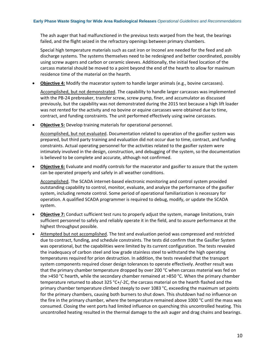The ash auger that had malfunctioned in the previous tests warped from the heat, the bearings failed, and the flight seized in the refractory openings between primary chambers.

Special high temperature materials such as cast iron or Inconel are needed for the feed and ash discharge systems. The systems themselves need to be redesigned and better coordinated, possibly using screw augers and carbon or ceramic sleeves. Additionally, the initial feed location of the carcass material should be moved to a point beyond the end of the hearth to allow for maximum residence time of the material on the hearth.

**Objective 4:** Modify the macerator system to handle larger animals (e.g., bovine carcasses).

Accomplished, but not demonstrated. The capability to handle larger carcasses was implemented with the PB‐24 prebreaker, transfer screw, screw pump, finer, and accumulator as discussed previously, but the capability was not demonstrated during the 2015 test because a high lift loader was not rented for the activity and no bovine or equine carcasses were obtained due to time, contract, and funding constraints. The unit performed effectively using swine carcasses.

**Objective 5:** Develop training materials for operational personnel.

Accomplished, but not evaluated. Documentation related to operation of the gasifier system was prepared, but third party training and evaluation did not occur due to time, contract, and funding constraints. Actual operating personnel for the activities related to the gasifier system were intimately involved in the design, construction, and debugging of the system, so the documentation is believed to be complete and accurate, although not confirmed.

 **Objective 6:** Evaluate and modify controls for the macerator and gasifier to assure that the system can be operated properly and safely in all weather conditions.

Accomplished. The SCADA internet‐based electronic monitoring and control system provided outstanding capability to control, monitor, evaluate, and analyze the performance of the gasifier system, including remote control. Some period of operational familiarization is necessary for operation. A qualified SCADA programmer is required to debug, modify, or update the SCADA system.

- **Objective 7:** Conduct sufficient test runs to properly adjust the system, manage limitations, train sufficient personnel to safely and reliably operate it in the field, and to assure performance at the highest throughput possible.
- Attempted but not accomplished. The test and evaluation period was compressed and restricted due to contract, funding, and schedule constraints. The tests did confirm that the Gasifier System was operational, but the capabilities were limited by its current configuration. The tests revealed the inadequacy of carbon steel and low grade stainless steel to withstand the high operating temperatures required for prion destruction. In addition, the tests revealed that the transport system components required closer design tolerances to operate effectively. Another result was that the primary chamber temperature dropped by over 200 °C when carcass material was fed on the >450 °C hearth, while the secondary chamber remained at >850 °C. When the primary chamber temperature returned to about 325 °C+/-2C, the carcass material on the hearth flashed and the primary chamber temperature climbed steeply to over 1083 °C, exceeding the maximum set points for the primary chambers, causing both burners to shut down. This shutdown had no influence on the fire in the primary chamber, where the temperature remained above 1000 °C until the mass was consumed. Closing the vent ports had limited influence on quenching this uncontrolled heating. This uncontrolled heating resulted in the thermal damage to the ash auger and drag chains and bearings.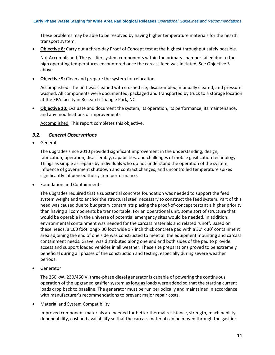These problems may be able to be resolved by having higher temperature materials for the hearth transport system.

**Objective 8:** Carry out a three‐day Proof of Concept test at the highest throughput safely possible.

Not Accomplished. The gasifier system components within the primary chamber failed due to the high operating temperatures encountered once the carcass feed was initiated. See Objective 3 above

**Objective 9:** Clean and prepare the system for relocation.

Accomplished. The unit was cleaned with crushed ice, disassembled, manually cleared, and pressure washed. All components were documented, packaged and transported by truck to a storage location at the EPA facility in Research Triangle Park, NC.

 **Objective 10:** Evaluate and document the system, its operation, its performance, its maintenance, and any modifications or improvements

Accomplished. This report completes this objective.

### *3.2. General Observations*

General

The upgrades since 2010 provided significant improvement in the understanding, design, fabrication, operation, disassembly, capabilities, and challenges of mobile gasification technology. Things as simple as repairs by individuals who do not understand the operation of the system, influence of government shutdown and contract changes, and uncontrolled temperature spikes significantly influenced the system performance.

● Foundation and Containment-

The upgrades required that a substantial concrete foundation was needed to support the feed system weight and to anchor the structural steel necessary to construct the feed system. Part of this need was caused due to budgetary constraints placing the proof‐of‐concept tests at a higher priority than having all components be transportable. For an operational unit, some sort of structure that would be operable in the universe of potential emergency sites would be needed. In addition, environmental containment was needed for the carcass materials and related runoff. Based on these needs, a 100 foot long x 30 foot wide x 7 inch thick concrete pad with a 30' x 30' containment area adjoining the end of one side was constructed to meet all the equipment mounting and carcass containment needs. Gravel was distributed along one end and both sides of the pad to provide access and support loaded vehicles in all weather. These site preparations proved to be extremely beneficial during all phases of the construction and testing, especially during severe weather periods.

Generator

The 250 kW, 230/460 V, three-phase diesel generator is capable of powering the continuous operation of the upgraded gasifier system as long as loads were added so that the starting current loads drop back to baseline. The generator must be run periodically and maintained in accordance with manufacturer's recommendations to prevent major repair costs.

Material and System Compatibility

Improved component materials are needed for better thermal resistance, strength, machinability, dependability, cost and availability so that the carcass material can be moved through the gasifier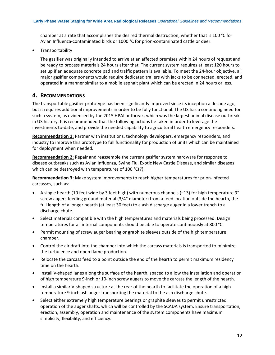chamber at a rate that accomplishes the desired thermal destruction, whether that is 100 °C for Avian Influenza-contaminated birds or 1000 °C for prion-contaminated cattle or deer.

• Transportability

The gasifier was originally intended to arrive at an affected premises within 24 hours of request and be ready to process materials 24 hours after that. The current system requires at least 120 hours to set up if an adequate concrete pad and traffic pattern is available. To meet the 24‐hour objective, all major gasifier components would require dedicated trailers with jacks to be connected, erected, and operated in a manner similar to a mobile asphalt plant which can be erected in 24 hours or less.

# **4. RECOMMENDATIONS**

The transportable gasifier prototype has been significantly improved since its inception a decade ago, but it requires additional improvements in order to be fully functional. The US has a continuing need for such a system, as evidenced by the 2015 HPAI outbreak, which was the largest animal disease outbreak in US history. It is recommended that the following actions be taken in order to leverage the investments to‐date, and provide the needed capability to agricultural health emergency responders.

**Recommendation 1:** Partner with institutions, technology developers, emergency responders, and industry to improve this prototype to full functionality for production of units which can be maintained for deployment when needed.

**Recommendation 2:** Repair and reassemble the current gasifier system hardware for response to disease outbreaks such as Avian Influenza, Swine Flu, Exotic New Castle Disease, and similar diseases which can be destroyed with temperatures of 100 °C(7).

**Recommendation 3:** Make system improvements to reach higher temperatures for prion‐infected carcasses, such as:

- A single hearth (10 feet wide by 3 feet high) with numerous channels (~13) for high temperature 9" screw augers feeding ground material (3/4" diameter) from a feed location outside the hearth, the full length of a longer hearth (at least 30 feet) to a ash discharge auger in a lower trench to a discharge chute.
- Select materials compatible with the high temperatures and materials being processed. Design temperatures for all internal components should be able to operate continuously at 800 °C.
- Permit mounting of screw auger bearing or graphite sleeves outside of the high temperature chamber.
- Control the air draft into the chamber into which the carcass materials is transported to minimize the turbulence and open flame production.
- Relocate the carcass feed to a point outside the end of the hearth to permit maximum residency time on the hearth.
- Install V-shaped lanes along the surface of the hearth, spaced to allow the installation and operation of high temperature 9‐inch or 10‐inch screw augers to move the carcass the length of the hearth.
- Install a similar V-shaped structure at the rear of the hearth to facilitate the operation of a high temperature 9‐inch ash auger transporting the material to the ash discharge chute.
- Select either extremely high temperature bearings or graphite sleeves to permit unrestricted operation of the auger shafts, which will be controlled by the SCADA system. Ensure transportation, erection, assembly, operation and maintenance of the system components have maximum simplicity, flexibility, and efficiency.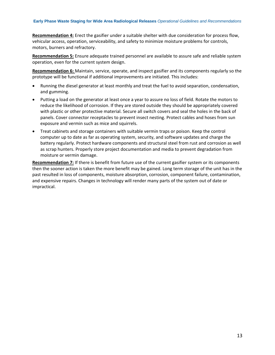**Recommendation 4:** Erect the gasifier under a suitable shelter with due consideration for process flow, vehicular access, operation, serviceability, and safety to minimize moisture problems for controls, motors, burners and refractory.

**Recommendation 5:** Ensure adequate trained personnel are available to assure safe and reliable system operation, even for the current system design.

**Recommendation 6:** Maintain, service, operate, and inspect gasifier and its components regularly so the prototype will be functional if additional improvements are initiated. This includes:

- Running the diesel generator at least monthly and treat the fuel to avoid separation, condensation, and gumming.
- Putting a load on the generator at least once a year to assure no loss of field. Rotate the motors to reduce the likelihood of corrosion. If they are stored outside they should be appropriately covered with plastic or other protective material. Secure all switch covers and seal the holes in the back of panels. Cover connector receptacles to prevent insect nesting. Protect cables and hoses from sun exposure and vermin such as mice and squirrels.
- Treat cabinets and storage containers with suitable vermin traps or poison. Keep the control computer up to date as far as operating system, security, and software updates and charge the battery regularly. Protect hardware components and structural steel from rust and corrosion as well as scrap hunters. Properly store project documentation and media to prevent degradation from moisture or vermin damage.

**Recommendation 7:** If there is benefit from future use of the current gasifier system or its components then the sooner action is taken the more benefit may be gained. Long term storage of the unit has in the past resulted in loss of components, moisture absorption, corrosion, component failure, contamination, and expensive repairs. Changes in technology will render many parts of the system out of date or impractical.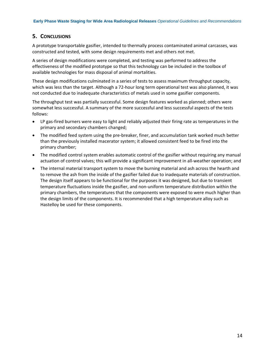# **5. CONCLUSIONS**

A prototype transportable gasifier, intended to thermally process contaminated animal carcasses, was constructed and tested, with some design requirements met and others not met.

A series of design modifications were completed, and testing was performed to address the effectiveness of the modified prototype so that this technology can be included in the toolbox of available technologies for mass disposal of animal mortalities.

These design modifications culminated in a series of tests to assess maximum throughput capacity, which was less than the target. Although a 72-hour long term operational test was also planned, it was not conducted due to inadequate characteristics of metals used in some gasifier components.

The throughput test was partially successful. Some design features worked as planned; others were somewhat less successful. A summary of the more successful and less successful aspects of the tests follows:

- LP gas‐fired burners were easy to light and reliably adjusted their firing rate as temperatures in the primary and secondary chambers changed;
- The modified feed system using the pre-breaker, finer, and accumulation tank worked much better than the previously installed macerator system; it allowed consistent feed to be fired into the primary chamber;
- The modified control system enables automatic control of the gasifier without requiring any manual actuation of control valves; this will provide a significant improvement in all‐weather operation; and
- The internal material transport system to move the burning material and ash across the hearth and to remove the ash from the inside of the gasifier failed due to inadequate materials of construction. The design itself appears to be functional for the purposes it was designed, but due to transient temperature fluctuations inside the gasifier, and non‐uniform temperature distribution within the primary chambers, the temperatures that the components were exposed to were much higher than the design limits of the components. It is recommended that a high temperature alloy such as Hastelloy be used for these components.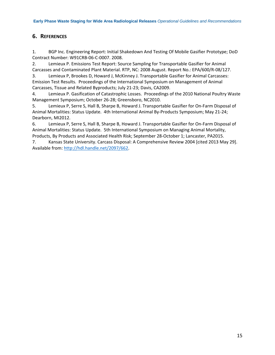# **6. REFERENCES**

1. BGP Inc. Engineering Report: Initial Shakedown And Testing Of Mobile Gasifier Prototype; DoD Contract Number: W91CRB‐06‐C‐0007. 2008.

2. Lemieux P. Emissions Test Report: Source Sampling for Transportable Gasifier for Animal Carcasses and Contaminated Plant Material. RTP, NC: 2008 August. Report No.: EPA/600/R‐08/127.

3. Lemieux P, Brookes D, Howard J, McKinney J. Transportable Gasifier for Animal Carcasses: Emission Test Results. Proceedings of the International Symposium on Management of Animal Carcasses, Tissue and Related Byproducts; July 21‐23; Davis, CA2009.

4. Lemieux P. Gasification of Catastrophic Losses. Proceedings of the 2010 National Poultry Waste Management Symposium; October 26‐28; Greensboro, NC2010.

5. Lemieux P, Serre S, Hall B, Sharpe B, Howard J. Transportable Gasifier for On‐Farm Disposal of Animal Mortalities: Status Update. 4th International Animal By‐Products Symposium; May 21‐24; Dearborn, MI2012.

6. Lemieux P, Serre S, Hall B, Sharpe B, Howard J. Transportable Gasifier for On‐Farm Disposal of Animal Mortalities: Status Update. 5th International Symposium on Managing Animal Mortality, Products, By Products and Associated Health Risk; September 28‐October 1; Lancaster, PA2015.

7. Kansas State University. Carcass Disposal: A Comprehensive Review 2004 [cited 2013 May 29]. Available from: http://hdl.handle.net/2097/662.